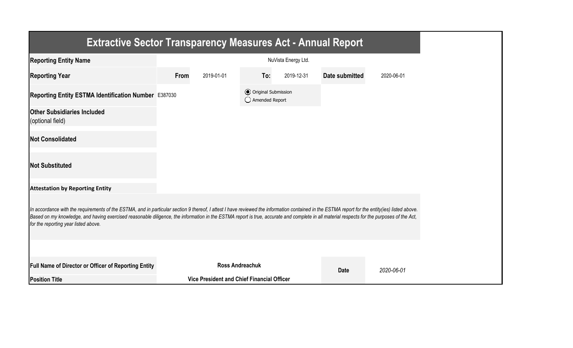| <b>Extractive Sector Transparency Measures Act - Annual Report</b>                                                                                                                                                                                                                                                                                                                                                                    |                     |                                            |                                                  |            |                |            |  |
|---------------------------------------------------------------------------------------------------------------------------------------------------------------------------------------------------------------------------------------------------------------------------------------------------------------------------------------------------------------------------------------------------------------------------------------|---------------------|--------------------------------------------|--------------------------------------------------|------------|----------------|------------|--|
| <b>Reporting Entity Name</b>                                                                                                                                                                                                                                                                                                                                                                                                          | NuVista Energy Ltd. |                                            |                                                  |            |                |            |  |
| <b>Reporting Year</b>                                                                                                                                                                                                                                                                                                                                                                                                                 | From                | 2019-01-01                                 | To:                                              | 2019-12-31 | Date submitted | 2020-06-01 |  |
| Reporting Entity ESTMA Identification Number E387030                                                                                                                                                                                                                                                                                                                                                                                  |                     |                                            | <b>●</b> Original Submission<br>◯ Amended Report |            |                |            |  |
| <b>Other Subsidiaries Included</b><br>(optional field)                                                                                                                                                                                                                                                                                                                                                                                |                     |                                            |                                                  |            |                |            |  |
| <b>Not Consolidated</b>                                                                                                                                                                                                                                                                                                                                                                                                               |                     |                                            |                                                  |            |                |            |  |
| <b>Not Substituted</b>                                                                                                                                                                                                                                                                                                                                                                                                                |                     |                                            |                                                  |            |                |            |  |
| <b>Attestation by Reporting Entity</b>                                                                                                                                                                                                                                                                                                                                                                                                |                     |                                            |                                                  |            |                |            |  |
| In accordance with the requirements of the ESTMA, and in particular section 9 thereof, I attest I have reviewed the information contained in the ESTMA report for the entity(ies) listed above.<br>Based on my knowledge, and having exercised reasonable diligence, the information in the ESTMA report is true, accurate and complete in all material respects for the purposes of the Act,<br>for the reporting year listed above. |                     |                                            |                                                  |            |                |            |  |
|                                                                                                                                                                                                                                                                                                                                                                                                                                       |                     |                                            |                                                  |            |                |            |  |
| <b>Full Name of Director or Officer of Reporting Entity</b>                                                                                                                                                                                                                                                                                                                                                                           |                     | <b>Ross Andreachuk</b>                     |                                                  |            | <b>Date</b>    | 2020-06-01 |  |
| <b>Position Title</b>                                                                                                                                                                                                                                                                                                                                                                                                                 |                     | Vice President and Chief Financial Officer |                                                  |            |                |            |  |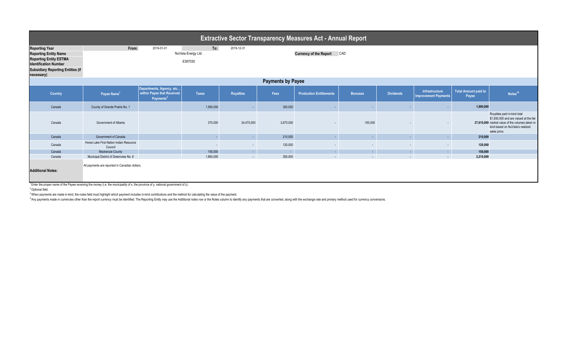| <b>Extractive Sector Transparency Measures Act - Annual Report</b>                                                                                                               |                                                                                                                                                                                                                                  |                                                                                 |              |                  |                                      |                                |                |                             |                                               |                                      |                                                                                                                                                                                |  |
|----------------------------------------------------------------------------------------------------------------------------------------------------------------------------------|----------------------------------------------------------------------------------------------------------------------------------------------------------------------------------------------------------------------------------|---------------------------------------------------------------------------------|--------------|------------------|--------------------------------------|--------------------------------|----------------|-----------------------------|-----------------------------------------------|--------------------------------------|--------------------------------------------------------------------------------------------------------------------------------------------------------------------------------|--|
| <b>Reporting Year</b><br><b>Reporting Entity Name</b><br><b>Reporting Entity ESTMA</b><br><b>Identification Number</b><br><b>Subsidiary Reporting Entities (if</b><br>necessary) | From:<br>To:<br>2019-01-01<br>2019-12-31<br>NuVista Energy Ltd.<br>E387030                                                                                                                                                       |                                                                                 |              |                  | <b>Currency of the Report</b><br>CAD |                                |                |                             |                                               |                                      |                                                                                                                                                                                |  |
| <b>Payments by Payee</b>                                                                                                                                                         |                                                                                                                                                                                                                                  |                                                                                 |              |                  |                                      |                                |                |                             |                                               |                                      |                                                                                                                                                                                |  |
| <b>Country</b>                                                                                                                                                                   | Payee Name <sup>1</sup>                                                                                                                                                                                                          | Departments, Agency, etc<br>within Payee that Received<br>Payments <sup>2</sup> | <b>Taxes</b> | <b>Royalties</b> | Fees                                 | <b>Production Entitlements</b> | <b>Bonuses</b> | <b>Dividends</b>            | Infrastructure<br><b>Improvement Payments</b> | <b>Total Amount paid to</b><br>Payee | Notes <sup>34</sup>                                                                                                                                                            |  |
| Canada                                                                                                                                                                           | County of Grande Prairie No. 1                                                                                                                                                                                                   |                                                                                 | 1,590,000    |                  | 300,000                              |                                |                |                             |                                               | 1,890,000                            |                                                                                                                                                                                |  |
| Canada                                                                                                                                                                           | Government of Alberta                                                                                                                                                                                                            |                                                                                 | 370,000      | 24,470,000       | 2,670,000                            |                                | 100,000        |                             |                                               |                                      | Royalties paid in-kind total<br>\$1,930,000 and are valued at the fair<br>27,610,000 market value of the volumes taken in-<br>kind based on NuVista's realized<br>sales price. |  |
| Canada                                                                                                                                                                           | Government of Canada                                                                                                                                                                                                             |                                                                                 |              | $\sim$           | 210,000                              |                                |                | ۰.                          | ٠                                             | 210,000                              |                                                                                                                                                                                |  |
| Canada                                                                                                                                                                           | Horse Lake First Nation Indian Resource<br>Council                                                                                                                                                                               |                                                                                 |              | $\sim$           | 120,000                              | $\sim$                         | $\sim$         | $\sim$                      | $\overline{\phantom{a}}$                      | 120,000                              |                                                                                                                                                                                |  |
| Canada                                                                                                                                                                           | Mackenzie County                                                                                                                                                                                                                 |                                                                                 | 150,000      | $\sim$           | - 1                                  | $\sim$                         | $\sim$         | $\mathcal{L}^{\mathcal{A}}$ | $\sim$                                        | 150,000                              |                                                                                                                                                                                |  |
| Canada<br><b>Additional Notes:</b>                                                                                                                                               | Municipal District of Greenview No. 8<br>All payments are reported in Canadian dollars.<br>$1$ Enter the proper name of the Payee receiving the money (i.e. the municipality of x, the province of y, national government of z). |                                                                                 | 1,860,000    | and a lot        | 350,000                              | $\sim$                         | $\sim$         | $\sim$                      | $\sim$                                        | 2,210,000                            |                                                                                                                                                                                |  |

Enter the prope<br><sup>2</sup> Optional field.

<sup>3</sup> When payments are made in-kind, the notes field must highlight which payment includes in-kind contributions and the method for calculating the value of the payment.

Any payments made in currencies other than the report currency must be identified. The Reporting Entity may use the Additional notes row or the Notes column to identify any payments that are converted, along with the excha